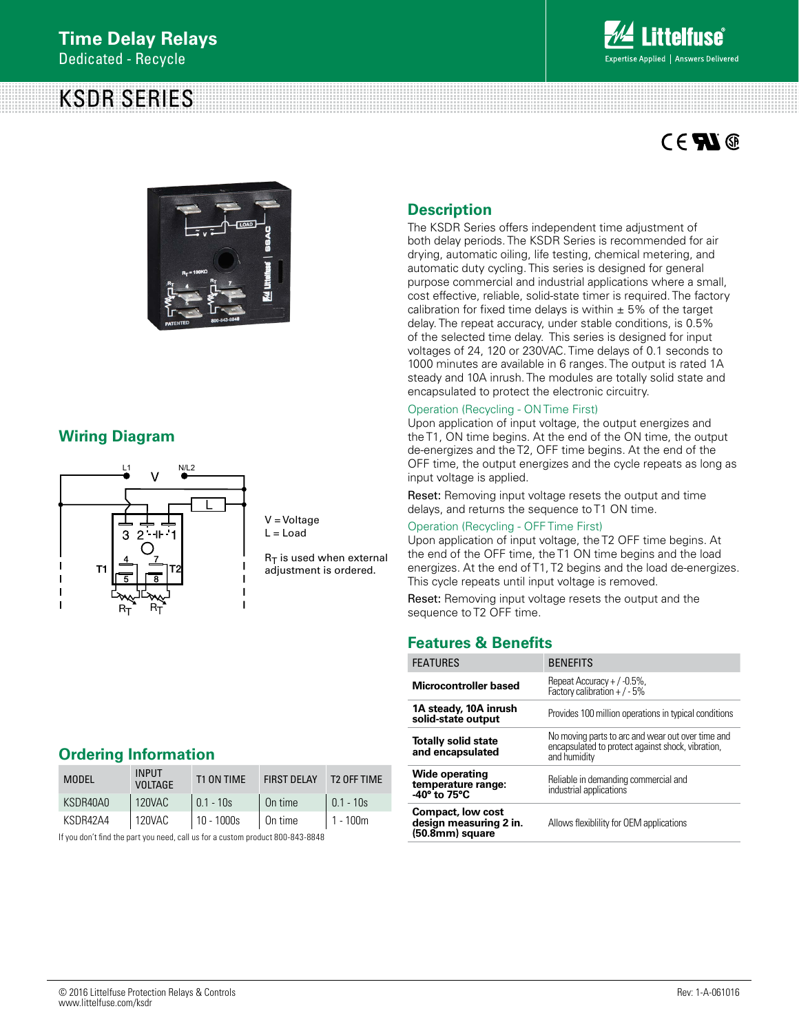# KSDR SERIES



# **CENG**



### **Wiring Diagram**



V = Voltage  $L =$  Load

 $R_T$  is used when external adjustment is ordered.

### **Ordering Information**

| <b>MODEL</b> | <b>INPUT</b><br><b>VOLTAGE</b> | T1 ON TIME  | <b>FIRST DELAY</b> | T2 OFF TIME |
|--------------|--------------------------------|-------------|--------------------|-------------|
| KSDR40A0     | 120VAC                         | $0.1 - 10s$ | On time            | $0.1 - 10s$ |
| KSDR42A4     | 120VAC                         | 10 - 1000s  | $\vert$ On time    | $1 - 100m$  |
|              |                                |             |                    |             |

If you don't find the part you need, call us for a custom product 800-843-8848

### **Description**

The KSDR Series offers independent time adjustment of both delay periods. The KSDR Series is recommended for air drying, automatic oiling, life testing, chemical metering, and automatic duty cycling. This series is designed for general purpose commercial and industrial applications where a small, cost effective, reliable, solid-state timer is required. The factory calibration for fixed time delays is within  $\pm$  5% of the target delay. The repeat accuracy, under stable conditions, is 0.5% of the selected time delay. This series is designed for input voltages of 24, 120 or 230VAC. Time delays of 0.1 seconds to 1000 minutes are available in 6 ranges. The output is rated 1A steady and 10A inrush. The modules are totally solid state and encapsulated to protect the electronic circuitry.

### Operation (Recycling - ON Time First)

Upon application of input voltage, the output energizes and the T1, ON time begins. At the end of the ON time, the output de-energizes and the T2, OFF time begins. At the end of the OFF time, the output energizes and the cycle repeats as long as input voltage is applied.

Reset: Removing input voltage resets the output and time delays, and returns the sequence to T1 ON time.

#### Operation (Recycling - OFF Time First)

Upon application of input voltage, the T2 OFF time begins. At the end of the OFF time, the T1 ON time begins and the load energizes. At the end of T1, T2 begins and the load de-energizes. This cycle repeats until input voltage is removed.

Reset: Removing input voltage resets the output and the sequence to T2 OFF time.

### **Features & Benefits**

| <b>FEATURES</b>                                                       | <b>BENEFITS</b>                                                                                                        |  |
|-----------------------------------------------------------------------|------------------------------------------------------------------------------------------------------------------------|--|
| Microcontroller based                                                 | Repeat Accuracy $+$ / $-0.5\%$ ,<br>Factory calibration + $/ -5\%$                                                     |  |
| 1A steady, 10A inrush<br>solid-state output                           | Provides 100 million operations in typical conditions                                                                  |  |
| <b>Totally solid state</b><br>and encapsulated                        | No moving parts to arc and wear out over time and<br>encapsulated to protect against shock, vibration,<br>and humidity |  |
| <b>Wide operating</b><br>temperature range:<br>$-40^\circ$ to 75°C    | Reliable in demanding commercial and<br>industrial applications                                                        |  |
| <b>Compact, low cost</b><br>design measuring 2 in.<br>(50.8mm) square | Allows flexibility for OEM applications                                                                                |  |